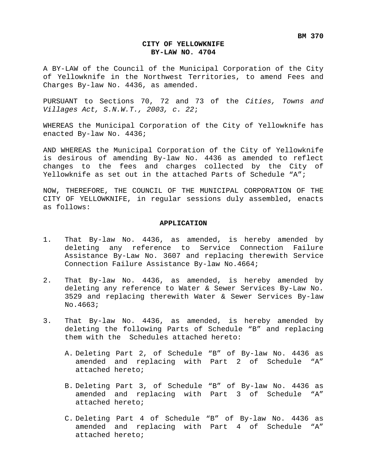#### **CITY OF YELLOWKNIFE BY-LAW NO. 4704**

A BY-LAW of the Council of the Municipal Corporation of the City of Yellowknife in the Northwest Territories, to amend Fees and Charges By-law No. 4436, as amended.

PURSUANT to Sections 70, 72 and 73 of the *Cities, Towns and Villages Act, S.N.W.T., 2003, c. 22*;

WHEREAS the Municipal Corporation of the City of Yellowknife has enacted By-law No. 4436;

AND WHEREAS the Municipal Corporation of the City of Yellowknife is desirous of amending By-law No. 4436 as amended to reflect changes to the fees and charges collected by the City of Yellowknife as set out in the attached Parts of Schedule "A";

NOW, THEREFORE, THE COUNCIL OF THE MUNICIPAL CORPORATION OF THE CITY OF YELLOWKNIFE, in regular sessions duly assembled, enacts as follows:

#### **APPLICATION**

- 1. That By-law No. 4436, as amended, is hereby amended by deleting any reference to Service Connection Failure Assistance By-Law No. 3607 and replacing therewith Service Connection Failure Assistance By-law No.4664;
- 2. That By-law No. 4436, as amended, is hereby amended by deleting any reference to Water & Sewer Services By-Law No. 3529 and replacing therewith Water & Sewer Services By-law No.4663;
- 3. That By-law No. 4436, as amended, is hereby amended by deleting the following Parts of Schedule "B" and replacing them with the Schedules attached hereto:
	- A. Deleting Part 2, of Schedule "B" of By-law No. 4436 as amended and replacing with Part 2 of Schedule "A" attached hereto;
	- B. Deleting Part 3, of Schedule "B" of By-law No. 4436 as amended and replacing with Part 3 of Schedule "A" attached hereto;
	- C. Deleting Part 4 of Schedule "B" of By-law No. 4436 as amended and replacing with Part 4 of Schedule "A" attached hereto;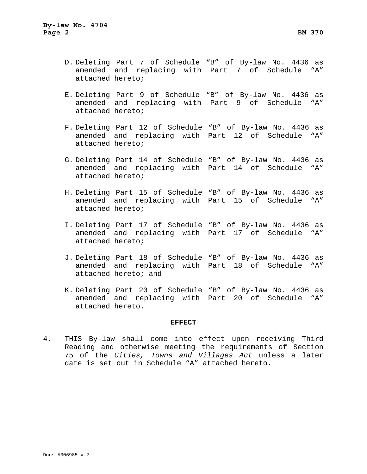- D. Deleting Part 7 of Schedule "B" of By-law No. 4436 as amended and replacing with Part 7 of Schedule "A" attached hereto;
- E. Deleting Part 9 of Schedule "B" of By-law No. 4436 as amended and replacing with Part 9 of Schedule "A" attached hereto;
- F. Deleting Part 12 of Schedule "B" of By-law No. 4436 as amended and replacing with Part 12 of Schedule "A" attached hereto;
- G. Deleting Part 14 of Schedule "B" of By-law No. 4436 as amended and replacing with Part 14 of Schedule "A" attached hereto;
- H. Deleting Part 15 of Schedule "B" of By-law No. 4436 as amended and replacing with Part 15 of Schedule "A" attached hereto;
- I. Deleting Part 17 of Schedule "B" of By-law No. 4436 as amended and replacing with Part 17 of Schedule "A" attached hereto;
- J. Deleting Part 18 of Schedule "B" of By-law No. 4436 as amended and replacing with Part 18 of Schedule "A" attached hereto; and
- K. Deleting Part 20 of Schedule "B" of By-law No. 4436 as amended and replacing with Part 20 of Schedule "A" attached hereto.

#### **EFFECT**

4. THIS By-law shall come into effect upon receiving Third Reading and otherwise meeting the requirements of Section 75 of the *Cities, Towns and Villages Act* unless a later date is set out in Schedule "A" attached hereto.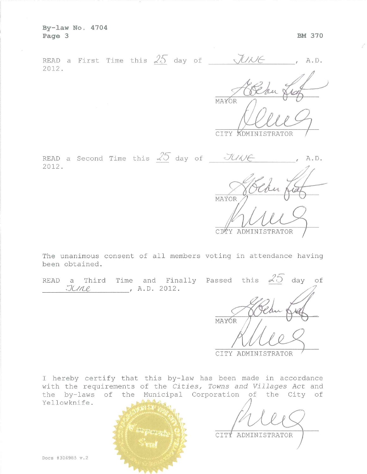By-law No. 4704 Page 3

| READ a First Time this $25$ day of<br>2012. |  |  |  | $\mathbbm{A}$ . $\mathbbm{D}$ .                                  |
|---------------------------------------------|--|--|--|------------------------------------------------------------------|
|                                             |  |  |  | MAYOR<br><b>ADMINISTRATOR</b><br>CITY                            |
| <b>READ</b><br>2012.                        |  |  |  | a Second Time this $\sqrt{5}$ day of $\sqrt{7}$<br>$A \cdot D$ . |

The unanimous consent of all members voting in attendance having been obtained.

MAYOR

CITY

ADMINIS

OR

| READ | a Third Time and Finally Passed this |              |       |  | $25$ day | of |
|------|--------------------------------------|--------------|-------|--|----------|----|
|      | 7(118)                               | , A.D. 2012. | MAYÓR |  |          |    |
|      |                                      |              |       |  |          |    |

I hereby certify that this by-law has been made in accordance with the requirements of the Cities, Towns and Villages Act and the by-laws of the Municipal Corporation of the City of Yellowknife.

ir poundir, en fr

t an

CITY ADMINISTRATOR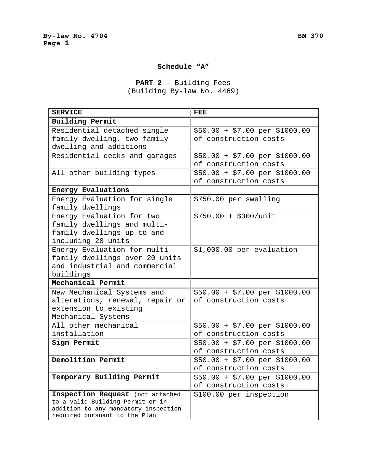### **Schedule "A"**

**PART 2** - Building Fees (Building By-law No. 4469)

| <b>SERVICE</b>                       | FEE                            |
|--------------------------------------|--------------------------------|
| Building Permit                      |                                |
| Residential detached single          | $$50.00 + $7.00 per $1000.00$  |
| family dwelling, two family          | of construction costs          |
| dwelling and additions               |                                |
| Residential decks and garages        | $$50.00 + $7.00 per $1000.00$  |
|                                      | of construction costs          |
| All other building types             | $$50.00 + $7.00 per $1000.00$  |
|                                      | of construction costs          |
| Energy Evaluations                   |                                |
| Energy Evaluation for single         | \$750.00 per swelling          |
| family dwellings                     |                                |
| Energy Evaluation for two            | $$750.00 + $300/unit$          |
| family dwellings and multi-          |                                |
| family dwellings up to and           |                                |
| including 20 units                   |                                |
| Energy Evaluation for multi-         | \$1,000.00 per evaluation      |
| family dwellings over 20 units       |                                |
| and industrial and commercial        |                                |
| buildings                            |                                |
| Mechanical Permit                    |                                |
| New Mechanical Systems and           | $$50.00 + $7.00 per $1000.00$  |
| alterations, renewal, repair or      | of construction costs          |
| extension to existing                |                                |
| Mechanical Systems                   |                                |
| All other mechanical                 | $$50.00 + $7.00 per $1000.00$  |
| installation                         | of construction costs          |
| Sign Permit                          | $$50.00 + $7.00$ per \$1000.00 |
|                                      | of construction costs          |
| Demolition Permit                    | $$50.00 + $7.00 per $1000.00$  |
|                                      | of construction costs          |
| Temporary Building Permit            | $$50.00 + $7.00 per $1000.00$  |
|                                      | of construction costs          |
| Inspection Request (not attached     | \$100.00 per inspection        |
| to a valid Building Permit or in     |                                |
| addition to any mandatory inspection |                                |
| required pursuant to the Plan        |                                |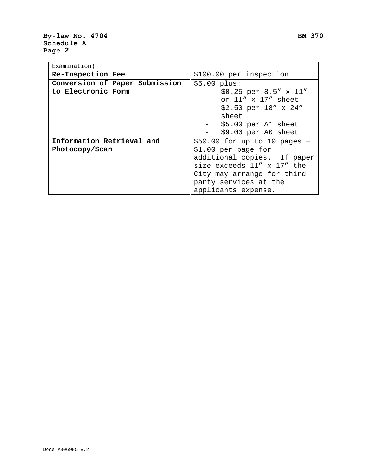| Examination)                   |                               |
|--------------------------------|-------------------------------|
| Re-Inspection Fee              | \$100.00 per inspection       |
| Conversion of Paper Submission | $$5.00$ plus:                 |
| to Electronic Form             | $$0.25$ per $8.5''$ x 11"     |
|                                | or $11''$ x $17''$ sheet      |
|                                | $$2.50$ per $18" \times 24"$  |
|                                | sheet                         |
|                                | \$5.00 per Al sheet           |
|                                | \$9.00 per A0 sheet           |
| Information Retrieval and      | $$50.00$ for up to 10 pages + |
| Photocopy/Scan                 | $$1.00$ per page for          |
|                                | additional copies. If paper   |
|                                | size exceeds 11" x 17" the    |
|                                | City may arrange for third    |
|                                | party services at the         |
|                                | applicants expense.           |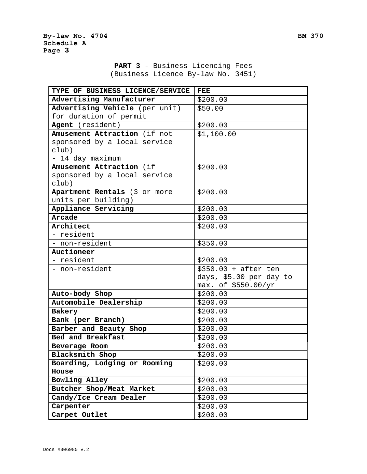| <b>PART 3</b> - Business Licencing Fees |  |
|-----------------------------------------|--|
| (Business Licence By-law No. 3451)      |  |

| TYPE OF BUSINESS LICENCE/SERVICE | FEE                     |  |  |
|----------------------------------|-------------------------|--|--|
| Advertising Manufacturer         | \$200.00                |  |  |
| Advertising Vehicle (per unit)   | \$50.00                 |  |  |
| for duration of permit           |                         |  |  |
| Agent (resident)                 | \$200.00                |  |  |
| Amusement Attraction (if not     | \$1,100.00              |  |  |
| sponsored by a local service     |                         |  |  |
| club)                            |                         |  |  |
| - 14 day maximum                 |                         |  |  |
| Amusement Attraction (if         | \$200.00                |  |  |
| sponsored by a local service     |                         |  |  |
| club)                            |                         |  |  |
| Apartment Rentals (3 or more     | \$200.00                |  |  |
| units per building)              |                         |  |  |
| Appliance Servicing              | \$200.00                |  |  |
| Arcade                           | \$200.00                |  |  |
| Architect                        | \$200.00                |  |  |
| - resident                       |                         |  |  |
| - non-resident                   | \$350.00                |  |  |
| Auctioneer                       |                         |  |  |
| - resident                       | \$200.00                |  |  |
| - non-resident                   | $$350.00 + after ten$   |  |  |
|                                  | days, \$5.00 per day to |  |  |
|                                  | max. of \$550.00/yr     |  |  |
| Auto-body Shop                   | \$200.00                |  |  |
| Automobile Dealership            | \$200.00                |  |  |
| Bakery                           | \$200.00                |  |  |
| Bank (per Branch)                | \$200.00                |  |  |
| Barber and Beauty Shop           | \$200.00                |  |  |
| Bed and Breakfast                | \$200.00                |  |  |
| Beverage Room                    | \$200.00                |  |  |
| Blacksmith Shop                  | \$200.00                |  |  |
| Boarding, Lodging or Rooming     | \$200.00                |  |  |
| House                            |                         |  |  |
| Bowling Alley                    | \$200.00                |  |  |
| Butcher Shop/Meat Market         | \$200.00                |  |  |
| Candy/Ice Cream Dealer           | \$200.00                |  |  |
| Carpenter                        | \$200.00                |  |  |
| Carpet Outlet                    | \$200.00                |  |  |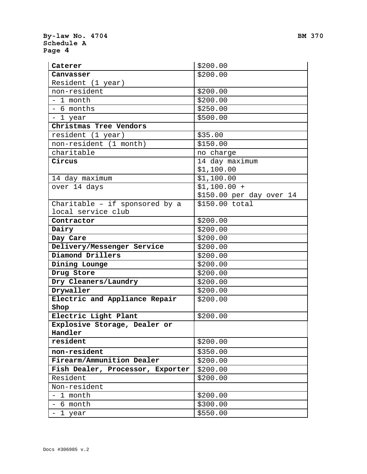| Caterer                          | \$200.00                 |
|----------------------------------|--------------------------|
| Canvasser                        | \$200.00                 |
| Resident (1 year)                |                          |
| non-resident                     | \$200.00                 |
| - 1 month                        | \$200.00                 |
| - 6 months                       | \$250.00                 |
| - 1 year                         | \$500.00                 |
| Christmas Tree Vendors           |                          |
| resident (1 year)                | \$35.00                  |
| non-resident (1 month)           | \$150.00                 |
| charitable                       | no charge                |
| Circus                           | 14 day maximum           |
|                                  | \$1,100.00               |
| 14 day maximum                   | \$1,100.00               |
| over 14 days                     | $$1,100.00 +$            |
|                                  | \$150.00 per day over 14 |
| Charitable - if sponsored by a   | \$150.00 total           |
| local service club               |                          |
| Contractor                       | \$200.00                 |
| Dairy                            | \$200.00                 |
| Day Care                         | \$200.00                 |
| Delivery/Messenger Service       | \$200.00                 |
| Diamond Drillers                 | \$200.00                 |
| Dining Lounge                    | \$200.00                 |
| Drug Store                       | \$200.00                 |
| Dry Cleaners/Laundry             | \$200.00                 |
| Drywaller                        | \$200.00                 |
| Electric and Appliance Repair    | \$200.00                 |
| Shop                             |                          |
| Electric Light Plant             | \$200.00                 |
| Explosive Storage, Dealer or     |                          |
| Handler                          |                          |
| resident                         | \$200.00                 |
| non-resident                     | \$350.00                 |
| Firearm/Ammunition Dealer        | \$200.00                 |
| Fish Dealer, Processor, Exporter | \$200.00                 |
| Resident                         | \$200.00                 |
| Non-resident                     |                          |
| - 1 month                        | \$200.00                 |
| - 6 month                        | \$300.00                 |
| - 1 year                         | \$550.00                 |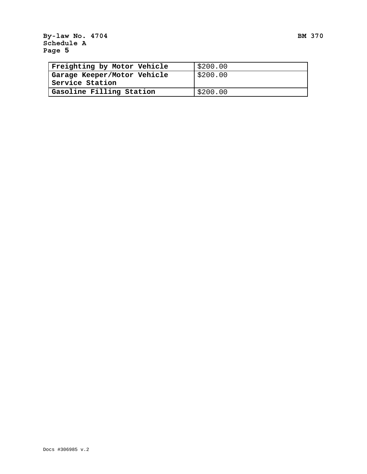| Freighting by Motor Vehicle | \$200.00 |
|-----------------------------|----------|
| Garage Keeper/Motor Vehicle | \$200.00 |
| Service Station             |          |
| Gasoline Filling Station    | \$200.00 |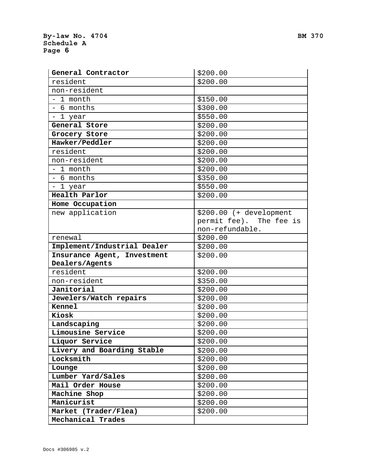| General Contractor          | \$200.00                |
|-----------------------------|-------------------------|
| resident                    | \$200.00                |
| non-resident                |                         |
| - 1 month                   | \$150.00                |
| - 6 months                  | \$300.00                |
| 1 year                      | \$550.00                |
| General Store               | \$200.00                |
| Grocery Store               | \$200.00                |
| Hawker/Peddler              | \$200.00                |
| resident                    | \$200.00                |
| non-resident                | \$200.00                |
| - 1 month                   | \$200.00                |
| - 6 months                  | \$350.00                |
| - 1 year                    | \$550.00                |
| Health Parlor               | \$200.00                |
| Home Occupation             |                         |
| new application             | \$200.00 (+ development |
|                             | permit fee). The fee is |
|                             | non-refundable.         |
| renewal                     | \$200.00                |
| Implement/Industrial Dealer | \$200.00                |
| Insurance Agent, Investment | \$200.00                |
| Dealers/Agents              |                         |
| resident                    | \$200.00                |
| non-resident                | \$350.00                |
| Janitorial                  | \$200.00                |
| Jewelers/Watch repairs      | \$200.00                |
| <b>Kennel</b>               | \$200.00                |
| Kiosk                       | \$200.00                |
| Landscaping                 | \$200.00                |
| Limousine Service           | \$200.00                |
| Liquor Service              | \$200.00                |
| Livery and Boarding Stable  | \$200.00                |
| Locksmith                   | \$200.00                |
| Lounge                      | \$200.00                |
| Lumber Yard/Sales           | \$200.00                |
| Mail Order House            | \$200.00                |
| Machine Shop                | \$200.00                |
| Manicurist                  | \$200.00                |
| Market (Trader/Flea)        | \$200.00                |
| Mechanical Trades           |                         |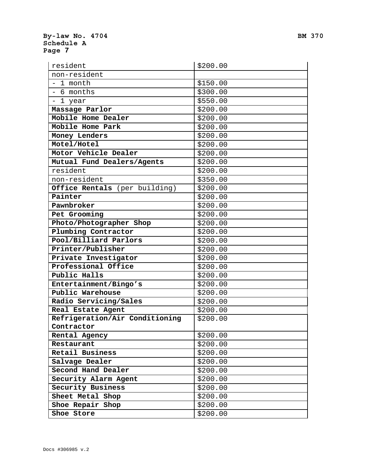| resident                       | \$200.00 |
|--------------------------------|----------|
| non-resident                   |          |
| - 1 month                      | \$150.00 |
| - 6 months                     | \$300.00 |
| - 1 year                       | \$550.00 |
| Massage Parlor                 | \$200.00 |
| Mobile Home Dealer             | \$200.00 |
| Mobile Home Park               | \$200.00 |
| Money Lenders                  | \$200.00 |
| Motel/Hotel                    | \$200.00 |
| Motor Vehicle Dealer           | \$200.00 |
| Mutual Fund Dealers/Agents     | \$200.00 |
| resident                       | \$200.00 |
| non-resident                   | \$350.00 |
| Office Rentals (per building)  | \$200.00 |
| Painter                        | \$200.00 |
| Pawnbroker                     | \$200.00 |
| Pet Grooming                   | \$200.00 |
| Photo/Photographer Shop        | \$200.00 |
| Plumbing Contractor            | \$200.00 |
| Pool/Billiard Parlors          | \$200.00 |
| Printer/Publisher              | \$200.00 |
| Private Investigator           | \$200.00 |
| Professional Office            | \$200.00 |
| Public Halls                   | \$200.00 |
| Entertainment/Bingo's          | \$200.00 |
| Public Warehouse               | \$200.00 |
| Radio Servicing/Sales          | \$200.00 |
| Real Estate Agent              | \$200.00 |
| Refrigeration/Air Conditioning | \$200.00 |
| Contractor                     |          |
| Rental Agency                  | \$200.00 |
| Restaurant                     | \$200.00 |
| Retail Business                | \$200.00 |
| Salvage Dealer                 | \$200.00 |
| Second Hand Dealer             | \$200.00 |
| Security Alarm Agent           | \$200.00 |
| Security Business              | \$200.00 |
| Sheet Metal Shop               | \$200.00 |
| Shoe Repair Shop               | \$200.00 |
| Shoe Store                     | \$200.00 |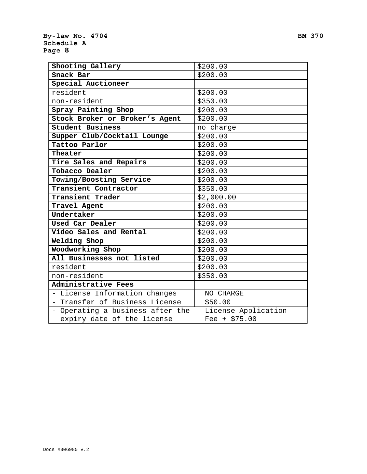| Shooting Gallery                 | \$200.00            |  |
|----------------------------------|---------------------|--|
| Snack Bar                        | \$200.00            |  |
| Special Auctioneer               |                     |  |
| resident                         | \$200.00            |  |
| non-resident                     | \$350.00            |  |
| Spray Painting Shop              | \$200.00            |  |
| Stock Broker or Broker's Agent   | \$200.00            |  |
| Student Business                 | no charge           |  |
| Supper Club/Cocktail Lounge      | \$200.00            |  |
| Tattoo Parlor                    | \$200.00            |  |
| Theater                          | \$200.00            |  |
| Tire Sales and Repairs           | \$200.00            |  |
| Tobacco Dealer                   | \$200.00            |  |
| Towing/Boosting Service          | \$200.00            |  |
| Transient Contractor             | \$350.00            |  |
| Transient Trader                 | \$2,000.00          |  |
| Travel Agent                     | \$200.00            |  |
| Undertaker                       | \$200.00            |  |
| Used Car Dealer                  | \$200.00            |  |
| Video Sales and Rental           | \$200.00            |  |
| Welding Shop                     | \$200.00            |  |
| Woodworking Shop                 | \$200.00            |  |
| All Businesses not listed        | \$200.00            |  |
| resident                         | \$200.00            |  |
| non-resident                     | \$350.00            |  |
| Administrative Fees              |                     |  |
| - License Information changes    | NO CHARGE           |  |
| - Transfer of Business License   | \$50.00             |  |
| - Operating a business after the | License Application |  |
| expiry date of the license       | Fee + $$75.00$      |  |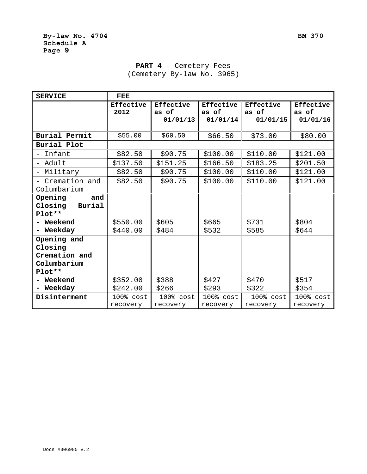## PART 4 - Cemetery Fees (Cemetery By-law No. 3965)

| <b>SERVICE</b>    | <b>FEE</b> |           |             |           |           |
|-------------------|------------|-----------|-------------|-----------|-----------|
|                   | Effective  | Effective | Effective   | Effective | Effective |
|                   | 2012       | as of     | as of       | as of     | as of     |
|                   |            | 01/01/13  | 01/01/14    | 01/01/15  | 01/01/16  |
|                   |            |           |             |           |           |
| Burial Permit     | \$55.00    | \$60.50   | \$66.50     | \$73.00   | \$80.00   |
| Burial Plot       |            |           |             |           |           |
| - Infant          | \$82.50    | \$90.75   | \$100.00    | \$110.00  | \$121.00  |
| - Adult           | \$137.50   | \$151.25  | \$166.50    | \$183.25  | \$201.50  |
| - Military        | \$82.50    | \$90.75   | \$100.00    | \$110.00  | \$121.00  |
| - Cremation and   | \$82.50    | \$90.75   | \$100.00    | \$110.00  | \$121.00  |
| Columbarium       |            |           |             |           |           |
| Opening<br>and    |            |           |             |           |           |
| Closing<br>Burial |            |           |             |           |           |
| $Plot**$          |            |           |             |           |           |
| - Weekend         | \$550.00   | \$605     | \$665       | \$731     | \$804     |
| - Weekday         | \$440.00   | \$484     | \$532       | \$585     | \$644     |
| Opening and       |            |           |             |           |           |
| Closing           |            |           |             |           |           |
| Cremation and     |            |           |             |           |           |
| Columbarium       |            |           |             |           |           |
| $Plot**$          |            |           |             |           |           |
| - Weekend         | \$352.00   | \$388     | \$427       | \$470     | \$517     |
| - Weekday         | \$242.00   | \$266     | \$293       | \$322     | \$354     |
| Disinterment      | 100% cost  | 100% cost | $1008$ cost | 100% cost | 100% cost |
|                   | recovery   | recovery  | recovery    | recovery  | recovery  |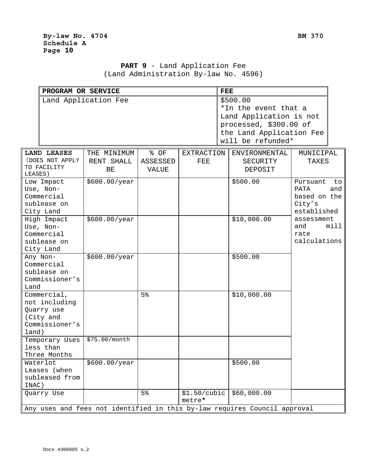# **PART 9** - Land Application Fee (Land Administration By-law No. 4596)

|                                                                                    | PROGRAM OR SERVICE              |                           |                          | <b>FEE</b>                                                                                                                             |                                                                        |  |
|------------------------------------------------------------------------------------|---------------------------------|---------------------------|--------------------------|----------------------------------------------------------------------------------------------------------------------------------------|------------------------------------------------------------------------|--|
| Land Application Fee                                                               |                                 |                           |                          | \$500.00<br>*In the event that a<br>Land Application is not<br>processed, \$300.00 of<br>the Land Application Fee<br>will be refunded* |                                                                        |  |
| <b>LAND LEASES</b><br>(DOES NOT APPLY<br>TO FACILITY<br>LEASES)                    | THE MINIMUM<br>RENT SHALL<br>ВE | % OF<br>ASSESSED<br>VALUE | <b>EXTRACTION</b><br>FEE | ENVIRONMENTAL<br>SECURITY<br>DEPOSIT                                                                                                   | MUNICIPAL<br>TAXES                                                     |  |
| Low Impact<br>Use, Non-<br>Commercial<br>sublease on<br>City Land                  | \$600.00/year                   |                           |                          | \$500.00                                                                                                                               | Pursuant<br>to<br>PATA<br>and<br>based on the<br>City's<br>established |  |
| High Impact<br>Use, Non-<br>Commercial<br>sublease on<br>City Land                 | \$600.00/year                   |                           |                          | \$10,000.00                                                                                                                            | assessment<br>mill<br>and<br>rate<br>calculations                      |  |
| Any Non-<br>Commercial<br>sublease on<br>Commissioner's<br>Land                    | \$600.00/year                   |                           |                          | \$500.00                                                                                                                               |                                                                        |  |
| Commercial,<br>not including<br>Quarry use<br>(City and<br>Commissioner's<br>land) |                                 | 5 <sup>°</sup>            |                          | \$10,000.00                                                                                                                            |                                                                        |  |
| Temporary Uses<br>less than<br>Three Months                                        | \$75.00/month                   |                           |                          |                                                                                                                                        |                                                                        |  |
| Waterlot<br>Leases (when<br>subleased from<br>INAC)                                | \$600.00/year                   |                           |                          | \$500.00                                                                                                                               |                                                                        |  |
| Quarry Use                                                                         |                                 | $5\%$                     | \$1.50/cubic<br>metre*   | \$60,000.00                                                                                                                            |                                                                        |  |
|                                                                                    |                                 |                           |                          | Any uses and fees not identified in this by-law requires Council approval                                                              |                                                                        |  |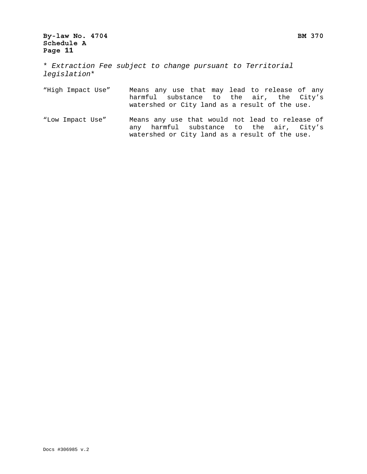\* *Extraction Fee subject to change pursuant to Territorial legislation*\*

| "High Impact Use" | Means any use that may lead to release of any<br>harmful substance to the air, the City's                                                     |
|-------------------|-----------------------------------------------------------------------------------------------------------------------------------------------|
|                   | watershed or City land as a result of the use.                                                                                                |
| "Low Impact Use"  | Means any use that would not lead to release of<br>any harmful substance to the air, City's<br>watershed or City land as a result of the use. |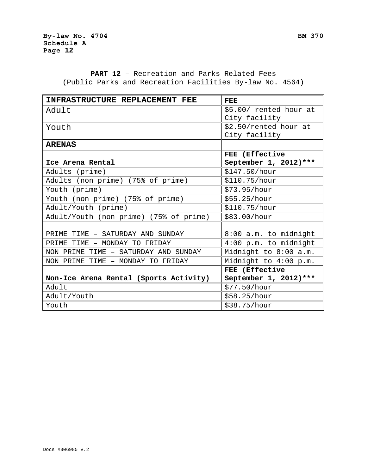**PART 12** – Recreation and Parks Related Fees (Public Parks and Recreation Facilities By-law No. 4564)

| <b>INFRASTRUCTURE REPLACEMENT FEE</b>  | <b>FEE</b>             |  |  |
|----------------------------------------|------------------------|--|--|
| Adult                                  | \$5.00/ rented hour at |  |  |
|                                        | City facility          |  |  |
| Youth                                  | \$2.50/rented hour at  |  |  |
|                                        | City facility          |  |  |
| <b>ARENAS</b>                          |                        |  |  |
|                                        | FEE (Effective         |  |  |
| Ice Arena Rental                       | September 1, 2012)***  |  |  |
| Adults (prime)                         | \$147.50/hour          |  |  |
| Adults (non prime) (75% of prime)      | \$110.75/hour          |  |  |
| Youth (prime)                          | \$73.95/hour           |  |  |
| Youth (non prime) (75% of prime)       | \$55.25/hour           |  |  |
| Adult/Youth (prime)                    | \$110.75/hour          |  |  |
| Adult/Youth (non prime) (75% of prime) | \$83.00/hour           |  |  |
| PRIME TIME - SATURDAY AND SUNDAY       | 8:00 a.m. to midnight  |  |  |
| PRIME TIME - MONDAY TO FRIDAY          | 4:00 p.m. to midnight  |  |  |
| NON PRIME TIME - SATURDAY AND SUNDAY   | Midnight to 8:00 a.m.  |  |  |
| NON PRIME TIME - MONDAY TO FRIDAY      | Midnight to 4:00 p.m.  |  |  |
|                                        | FEE (Effective         |  |  |
| Non-Ice Arena Rental (Sports Activity) | September 1, 2012)***  |  |  |
| Adult                                  | \$77.50/hour           |  |  |
| Adult/Youth                            | \$58.25/hour           |  |  |
| Youth                                  | \$38.75/hour           |  |  |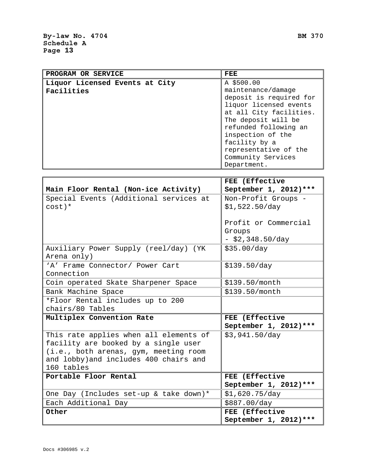| PROGRAM OR SERVICE             | FEE                     |
|--------------------------------|-------------------------|
| Liquor Licensed Events at City | A \$500.00              |
| Facilities                     | maintenance/damage      |
|                                | deposit is required for |
|                                | liquor licensed events  |
|                                | at all City facilities. |
|                                | The deposit will be     |
|                                | refunded following an   |
|                                | inspection of the       |
|                                | facility by a           |
|                                | representative of the   |
|                                | Community Services      |
|                                | Department.             |

|                                        | FEE (Effective         |
|----------------------------------------|------------------------|
| Main Floor Rental (Non-ice Activity)   | September 1, 2012)***  |
| Special Events (Additional services at | Non-Profit Groups -    |
| $cost$ )*                              | \$1,522.50/day         |
|                                        |                        |
|                                        | Profit or Commercial   |
|                                        | Groups                 |
|                                        | $-$ \$2,348.50/day     |
| Auxiliary Power Supply (reel/day) (YK  | \$35.00/day            |
| Arena only)                            |                        |
| 'A' Frame Connector/ Power Cart        | \$139.50/day           |
| Connection                             |                        |
| Coin operated Skate Sharpener Space    | \$139.50/month         |
| Bank Machine Space                     | \$139.50/month         |
| *Floor Rental includes up to 200       |                        |
| chairs/80 Tables                       |                        |
| Multiplex Convention Rate              | FEE (Effective         |
|                                        | September 1, 2012) *** |
| This rate applies when all elements of | \$3,941.50/day         |
| facility are booked by a single user   |                        |
| (i.e., both arenas, gym, meeting room  |                        |
| and lobby) and includes 400 chairs and |                        |
| 160 tables                             |                        |
| Portable Floor Rental                  | FEE (Effective         |
|                                        | September 1, 2012)***  |
| One Day (Includes set-up & take down)* | \$1,620.75/day         |
| Each Additional Day                    | \$887.00/day           |
| Other                                  | FEE (Effective         |
|                                        | September 1, 2012)***  |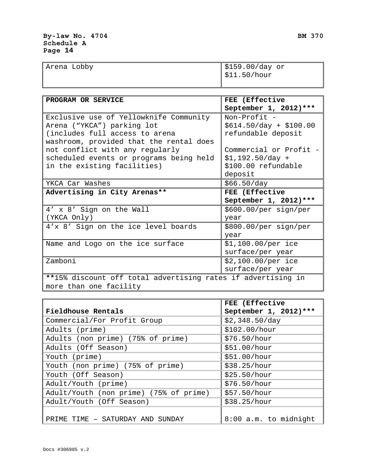| Arena Lobby | $\frac{1}{2}$ \$159.00/day or |
|-------------|-------------------------------|
|             | $\frac{1}{2}$ \$11.50/hour    |

| PROGRAM OR SERVICE                                           | FEE (Effective          |  |  |
|--------------------------------------------------------------|-------------------------|--|--|
|                                                              | September 1, 2012)***   |  |  |
| Exclusive use of Yellowknife Community                       | Non-Profit -            |  |  |
| Arena ("YKCA") parking lot                                   | $$614.50/day + $100.00$ |  |  |
| (includes full access to arena                               | refundable deposit      |  |  |
| washroom, provided that the rental does                      |                         |  |  |
| not conflict with any regularly                              | Commercial or Profit -  |  |  |
| scheduled events or programs being held                      | $$1,192.50/day +$       |  |  |
| in the existing facilities)                                  | \$100.00 refundable     |  |  |
|                                                              | deposit                 |  |  |
| YKCA Car Washes                                              | \$66.50/day             |  |  |
| Advertising in City Arenas**                                 | FEE (Effective          |  |  |
|                                                              | September 1, 2012) ***  |  |  |
| 4' x 8' Sign on the Wall                                     | \$600.00/per sign/per   |  |  |
| (YKCA Only)                                                  | year                    |  |  |
| 4'x 8' Sign on the ice level boards                          | \$800.00/per sign/per   |  |  |
|                                                              | year                    |  |  |
| Name and Logo on the ice surface                             | \$1,100.00/per ice      |  |  |
|                                                              | surface/per year        |  |  |
| Zamboni                                                      | \$2,100.00/per ice      |  |  |
|                                                              | surface/per year        |  |  |
| **15% discount off total advertising rates if advertising in |                         |  |  |
| more than one facility                                       |                         |  |  |

|                                         | FEE (Effective         |  |  |
|-----------------------------------------|------------------------|--|--|
| Fieldhouse Rentals                      | September 1, 2012) *** |  |  |
| Commercial/For Profit Group             | \$2,348.50/day         |  |  |
| Adults (prime)                          | \$102.00/hour          |  |  |
| Adults (non prime) (75% of prime)       | \$76.50/hour           |  |  |
| Adults (Off Season)                     | \$51.00/hour           |  |  |
| Youth (prime)                           | \$51.00/hour           |  |  |
| Youth (non prime) (75% of prime)        | \$38.25/hour           |  |  |
| Youth (Off Season)                      | \$25.50/hour           |  |  |
| Adult/Youth (prime)                     | \$76.50/hour           |  |  |
| Adult/Youth (non prime) (75% of prime)  | \$57.50/hour           |  |  |
| Adult/Youth (Off Season)                | \$38.25/hour           |  |  |
| PRIME<br>- SATURDAY AND SUNDAY<br>TTMF. | 8:00 a.m. to midnight  |  |  |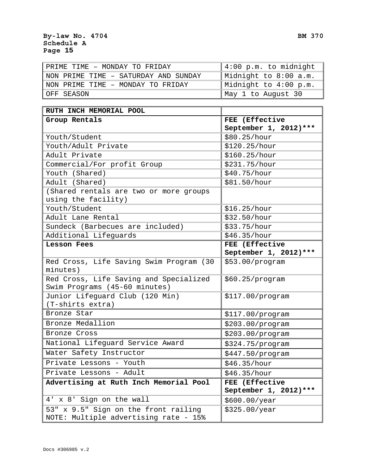| PRIME TIME - MONDAY TO FRIDAY        | $ 4:00 \text{ p.m. to midnight}$ |
|--------------------------------------|----------------------------------|
| NON PRIME TIME - SATURDAY AND SUNDAY | Midnight to 8:00 a.m.            |
| NON PRIME TIME - MONDAY TO FRIDAY    | Midnight to 4:00 p.m.            |
| OFF SEASON                           | May 1 to August 30               |

| RUTH INCH MEMORIAL POOL                                       |                        |  |  |
|---------------------------------------------------------------|------------------------|--|--|
| Group Rentals                                                 | FEE (Effective         |  |  |
|                                                               | September 1, 2012)***  |  |  |
| Youth/Student                                                 | \$80.25/hour           |  |  |
| Youth/Adult Private                                           | \$120.25/hour          |  |  |
| Adult Private                                                 | \$160.25/hour          |  |  |
| Commercial/For profit Group                                   | \$231.75/hour          |  |  |
| Youth (Shared)                                                | \$40.75/hour           |  |  |
| Adult (Shared)                                                | \$81.50/hour           |  |  |
| (Shared rentals are two or more groups<br>using the facility) |                        |  |  |
| Youth/Student                                                 | \$16.25/hour           |  |  |
| Adult Lane Rental                                             | \$32.50/hour           |  |  |
| Sundeck (Barbecues are included)                              | \$33.75/hour           |  |  |
| Additional Lifeguards                                         | \$46.35/hour           |  |  |
| Lesson Fees                                                   | FEE (Effective         |  |  |
|                                                               | September 1, 2012)***  |  |  |
| Red Cross, Life Saving Swim Program (30                       | \$53.00/program        |  |  |
| minutes)                                                      |                        |  |  |
| Red Cross, Life Saving and Specialized                        | \$60.25/program        |  |  |
| Swim Programs (45-60 minutes)                                 |                        |  |  |
| Junior Lifeguard Club (120 Min)                               | \$117.00/program       |  |  |
| (T-shirts extra)                                              |                        |  |  |
| Bronze Star                                                   | \$117.00/program       |  |  |
| Bronze Medallion                                              | \$203.00/program       |  |  |
| Bronze Cross                                                  | \$203.00/program       |  |  |
| National Lifeguard Service Award                              | \$324.75/program       |  |  |
| Water Safety Instructor                                       | \$447.50/program       |  |  |
| Private Lessons - Youth                                       | \$46.35/hour           |  |  |
| Private Lessons - Adult                                       | \$46.35/hour           |  |  |
| Advertising at Ruth Inch Memorial Pool                        | FEE (Effective         |  |  |
|                                                               | September 1, 2012) *** |  |  |
| 4' x 8' Sign on the wall                                      | \$600.00/year          |  |  |
| 53" x 9.5" Sign on the front railing                          | \$325.00/year          |  |  |
| NOTE: Multiple advertising rate - 15%                         |                        |  |  |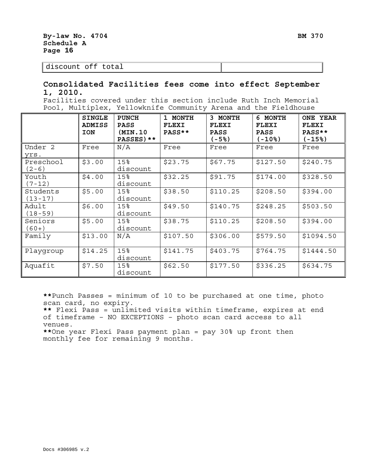discount off total

### **Consolidated Facilities fees come into effect September 1, 2010.**

Facilities covered under this section include Ruth Inch Memorial Pool, Multiplex, Yellowknife Community Arena and the Fieldhouse

|                         | <b>SINGLE</b><br><b>ADMISS</b><br><b>ION</b> | <b>PUNCH</b><br><b>PASS</b><br>(MIN.10<br>PASSES) ** | 1 MONTH<br>FLEXI<br>PASS** | 3 MONTH<br><b>FLEXI</b><br><b>PASS</b><br>$(-5)$ | 6<br><b>MONTH</b><br><b>FLEXI</b><br><b>PASS</b><br>(-10%) | <b>ONE YEAR</b><br><b>FLEXI</b><br>PASS**<br>$(-15)$ |
|-------------------------|----------------------------------------------|------------------------------------------------------|----------------------------|--------------------------------------------------|------------------------------------------------------------|------------------------------------------------------|
| Under 2<br>yrs.         | Free                                         | N/A                                                  | Free                       | Free                                             | Free                                                       | Free                                                 |
| Preschool<br>$(2-6)$    | \$3.00                                       | 15%<br>discount                                      | \$23.75                    | \$67.75                                          | \$127.50                                                   | \$240.75                                             |
| Youth<br>$(7 - 12)$     | \$4.00                                       | 15%<br>discount                                      | \$32.25                    | \$91.75                                          | \$174.00                                                   | \$328.50                                             |
| Students<br>$(13 - 17)$ | \$5.00                                       | 15 <sup>8</sup><br>discount                          | \$38.50                    | \$110.25                                         | \$208.50                                                   | \$394.00                                             |
| Adult<br>$(18 - 59)$    | \$6.00                                       | 15 <sup>8</sup><br>discount                          | \$49.50                    | \$140.75                                         | \$248.25                                                   | \$503.50                                             |
| Seniors<br>$(60+)$      | \$5.00                                       | 15%<br>discount                                      | \$38.75                    | \$110.25                                         | \$208.50                                                   | \$394.00                                             |
| Family                  | \$13.00                                      | N/A                                                  | \$107.50                   | \$306.00                                         | \$579.50                                                   | \$1094.50                                            |
| Playgroup               | \$14.25                                      | 15%<br>discount                                      | \$141.75                   | \$403.75                                         | \$764.75                                                   | \$1444.50                                            |
| Aquafit                 | \$7.50                                       | 15%<br>discount                                      | \$62.50                    | \$177.50                                         | \$336.25                                                   | \$634.75                                             |

**\*\***Punch Passes = minimum of 10 to be purchased at one time, photo scan card, no expiry.

**\*\*** Flexi Pass = unlimited visits within timeframe, expires at end of timeframe – NO EXCEPTIONS – photo scan card access to all venues. **\*\***One year Flexi Pass payment plan = pay 30% up front then

monthly fee for remaining 9 months.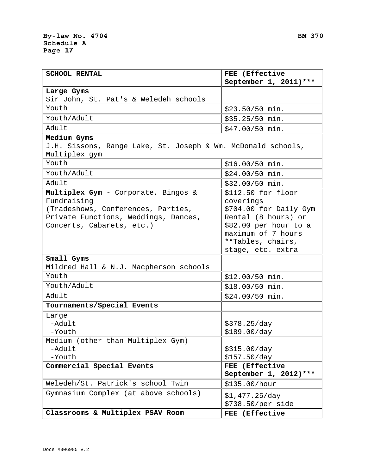| <b>SCHOOL RENTAL</b>                                         | FEE (Effective                 |  |  |
|--------------------------------------------------------------|--------------------------------|--|--|
|                                                              | September 1, 2011)***          |  |  |
| Large Gyms                                                   |                                |  |  |
| Sir John, St. Pat's & Weledeh schools                        |                                |  |  |
| Youth                                                        | \$23.50/50 min.                |  |  |
| Youth/Adult                                                  | \$35.25/50 min.                |  |  |
| Adult                                                        | \$47.00/50 min.                |  |  |
| Medium Gyms                                                  |                                |  |  |
| J.H. Sissons, Range Lake, St. Joseph & Wm. McDonald schools, |                                |  |  |
| Multiplex gym                                                |                                |  |  |
| Youth                                                        | \$16.00/50 min.                |  |  |
| Youth/Adult                                                  | \$24.00/50 min.                |  |  |
| Adult                                                        | \$32.00/50 min.                |  |  |
| Multiplex Gym - Corporate, Bingos &                          | \$112.50 for floor             |  |  |
| Fundraising                                                  | coverings                      |  |  |
| (Tradeshows, Conferences, Parties,                           | \$704.00 for Daily Gym         |  |  |
| Private Functions, Weddings, Dances,                         | Rental (8 hours) or            |  |  |
| Concerts, Cabarets, etc.)                                    | \$82.00 per hour to a          |  |  |
|                                                              | maximum of 7 hours             |  |  |
|                                                              | **Tables, chairs,              |  |  |
|                                                              | stage, etc. extra              |  |  |
| Small Gyms                                                   |                                |  |  |
| Mildred Hall & N.J. Macpherson schools                       |                                |  |  |
| Youth                                                        | \$12.00/50 min.                |  |  |
| Youth/Adult                                                  | \$18.00/50 min.                |  |  |
| Adult                                                        | \$24.00/50 min.                |  |  |
| Tournaments/Special Events                                   |                                |  |  |
| Large                                                        |                                |  |  |
| -Adult                                                       | \$378.25/day                   |  |  |
| -Youth                                                       | \$189.00/day                   |  |  |
| Medium (other than Multiplex Gym)                            |                                |  |  |
| -Adult                                                       | \$315.00/day                   |  |  |
| -Youth                                                       | \$157.50/day<br>FEE (Effective |  |  |
| Commercial Special Events                                    | September 1, 2012)***          |  |  |
| Weledeh/St. Patrick's school Twin                            | \$135.00/hour                  |  |  |
| Gymnasium Complex (at above schools)                         | \$1,477.25/day                 |  |  |
|                                                              | \$738.50/per side              |  |  |
| Classrooms & Multiplex PSAV Room                             | FEE (Effective                 |  |  |
|                                                              |                                |  |  |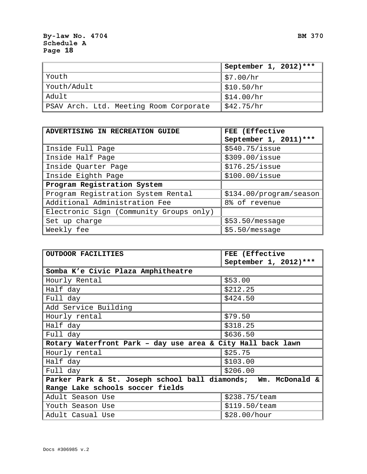|                                        | September 1, 2012)***             |
|----------------------------------------|-----------------------------------|
| Youth                                  | $\frac{1}{2}$ \$7.00/hr           |
| Youth/Adult                            | $\frac{1}{2}$ \$10.50/hr          |
| Adult                                  | $\frac{1}{2}$ \$14.00/hr          |
| PSAV Arch. Ltd. Meeting Room Corporate | $\frac{\sqrt{242.75}}{\text{hr}}$ |

| ADVERTISING IN RECREATION GUIDE         | FEE (Effective          |  |
|-----------------------------------------|-------------------------|--|
|                                         | September 1, 2011) ***  |  |
| Inside Full Page                        | \$540.75/issue          |  |
| Inside Half Page                        | \$309.00/issue          |  |
| Inside Quarter Page                     | \$176.25/issue          |  |
| Inside Eighth Page                      | $$100.00/$ issue        |  |
| Program Registration System             |                         |  |
| Program Registration System Rental      | \$134.00/program/season |  |
| Additional Administration Fee           | 8% of revenue           |  |
| Electronic Sign (Community Groups only) |                         |  |
| Set up charge                           | \$53.50/message         |  |
| Weekly fee                              | \$5.50/message          |  |

| <b>OUTDOOR FACILITIES</b>                                     | FEE (Effective        |
|---------------------------------------------------------------|-----------------------|
|                                                               | September 1, 2012)*** |
| Somba K'e Civic Plaza Amphitheatre                            |                       |
| Hourly Rental                                                 | \$53.00               |
| Half day                                                      | \$212.25              |
| Full day                                                      | \$424.50              |
| Add Service Building                                          |                       |
| Hourly rental                                                 | \$79.50               |
| Half day                                                      | \$318.25              |
| Full day                                                      | \$636.50              |
| Rotary Waterfront Park - day use area & City Hall back lawn   |                       |
| Hourly rental                                                 | \$25.75               |
| Half day                                                      | \$103.00              |
| Full day                                                      | \$206.00              |
| Parker Park & St. Joseph school ball diamonds; Wm. McDonald & |                       |
| Range Lake schools soccer fields                              |                       |
| Adult Season Use                                              | \$238.75/team         |
| Youth Season Use                                              | \$119.50/team         |
| Adult Casual Use                                              | \$28.00/hour          |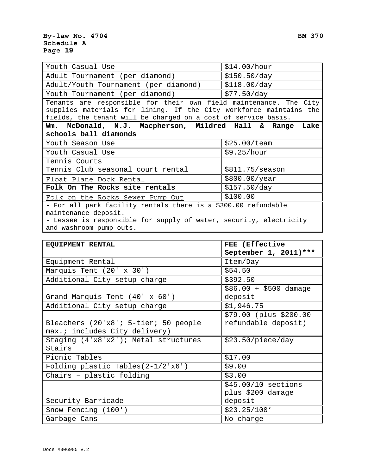| Youth Casual Use                                                                                                                                                                                          | \$14.00/hour            |  |
|-----------------------------------------------------------------------------------------------------------------------------------------------------------------------------------------------------------|-------------------------|--|
| Adult Tournament (per diamond)<br>\$150.50/day                                                                                                                                                            |                         |  |
| \$118.00/day<br>Adult/Youth Tournament (per diamond)                                                                                                                                                      |                         |  |
| Youth Tournament (per diamond)<br>\$77.50/day                                                                                                                                                             |                         |  |
| Tenants are responsible for their own field maintenance. The City<br>supplies materials for lining. If the City workforce maintains the<br>fields, the tenant will be charged on a cost of service basis. |                         |  |
| Wm. McDonald, N.J. Macpherson, Mildred Hall & Range Lake<br>schools ball diamonds                                                                                                                         |                         |  |
|                                                                                                                                                                                                           |                         |  |
| Youth Season Use                                                                                                                                                                                          | \$25.00/team            |  |
| Youth Casual Use                                                                                                                                                                                          | \$9.25/hour             |  |
| Tennis Courts                                                                                                                                                                                             |                         |  |
| Tennis Club seasonal court rental                                                                                                                                                                         | $$811.75/\text{season}$ |  |
| Float Plane Dock Rental                                                                                                                                                                                   | \$800.00/year           |  |
| Folk On The Rocks site rentals                                                                                                                                                                            | \$157.50/day            |  |
| Folk on the Rocks Sewer Pump Out                                                                                                                                                                          | \$100.00                |  |
| - For all park facility rentals there is a \$300.00 refundable                                                                                                                                            |                         |  |
| maintenance deposit.                                                                                                                                                                                      |                         |  |
| - Lessee is responsible for supply of water, security, electricity                                                                                                                                        |                         |  |
| and washroom pump outs.                                                                                                                                                                                   |                         |  |

| <b>EQUIPMENT RENTAL</b>                                               | FEE (Effective                                       |
|-----------------------------------------------------------------------|------------------------------------------------------|
|                                                                       | September 1, 2011)***                                |
| Equipment Rental                                                      | Item/Day                                             |
| Marquis Tent $(20' \times 30')$                                       | \$54.50                                              |
| Additional City setup charge                                          | \$392.50                                             |
| Grand Marquis Tent $(40' \times 60')$                                 | $$86.00 + $500$ damage<br>deposit                    |
| Additional City setup charge                                          | \$1,946.75                                           |
| Bleachers (20'x8'; 5-tier; 50 people<br>max.; includes City delivery) | \$79.00 (plus \$200.00<br>refundable deposit)        |
| Staging $(4'x8'x2')$ ; Metal structures<br>Stairs                     | \$23.50/piece/day                                    |
| Picnic Tables                                                         | \$17.00                                              |
| Folding plastic Tables(2-1/2'x6')                                     | \$9.00                                               |
| Chairs - plastic folding                                              | \$3.00                                               |
| Security Barricade                                                    | $$45.00/10$ sections<br>plus \$200 damage<br>deposit |
| Snow Fencing (100')                                                   | \$23.25/100'                                         |
| Garbage Cans                                                          | No charge                                            |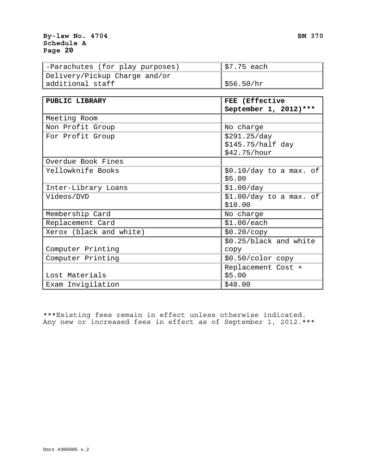| -Parachutes (for play purposes) | $$7.75$ each |
|---------------------------------|--------------|
| Delivery/Pickup Charge and/or   |              |
| additional staff                | \$56.50/hr   |

| PUBLIC LIBRARY          | FEE (Effective           |  |
|-------------------------|--------------------------|--|
|                         | September 1, 2012)***    |  |
| Meeting Room            |                          |  |
| Non Profit Group        | No charge                |  |
| For Profit Group        | \$291.25/day             |  |
|                         | \$145.75/half day        |  |
|                         | \$42.75/hour             |  |
| Overdue Book Fines      |                          |  |
| Yellowknife Books       | $$0.10/day$ to a max. of |  |
|                         | \$5.00                   |  |
| Inter-Library Loans     | \$1.00/day               |  |
| Videos/DVD              | $$1.00/day$ to a max. of |  |
|                         | \$10.00                  |  |
| Membership Card         | No charge                |  |
| Replacement Card        | \$1.00/each              |  |
| Xerox (black and white) | \$0.20/copy              |  |
|                         | \$0.25/black and white   |  |
| Computer Printing       | copy                     |  |
| Computer Printing       | $$0.50/color$ copy       |  |
|                         | Replacement Cost +       |  |
| Lost Materials          | \$5.00                   |  |
| Exam Invigilation       | \$48.00                  |  |

\*\*\*Existing fees remain in effect unless otherwise indicated. Any new or increased fees in effect as of September 1, 2012.\*\*\*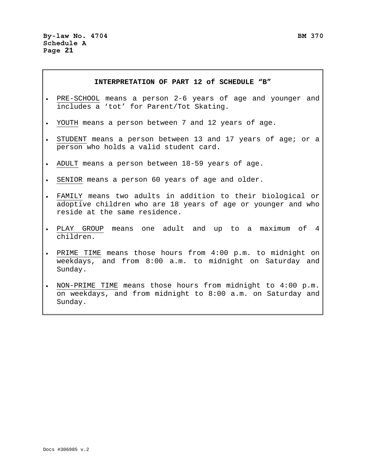#### **INTERPRETATION OF PART 12 of SCHEDULE "B"**

- PRE-SCHOOL means a person 2-6 years of age and younger and includes a 'tot' for Parent/Tot Skating.
- YOUTH means a person between 7 and 12 years of age.
- STUDENT means a person between 13 and 17 years of age; or a person who holds a valid student card.
- ADULT means a person between 18-59 years of age.
- SENIOR means a person 60 years of age and older.
- FAMILY means two adults in addition to their biological or adoptive children who are 18 years of age or younger and who reside at the same residence.
- PLAY GROUP means one adult and up to a maximum of 4 children.
- PRIME TIME means those hours from 4:00 p.m. to midnight on weekdays, and from 8:00 a.m. to midnight on Saturday and Sunday.
- NON-PRIME TIME means those hours from midnight to 4:00 p.m. on weekdays, and from midnight to 8:00 a.m. on Saturday and Sunday.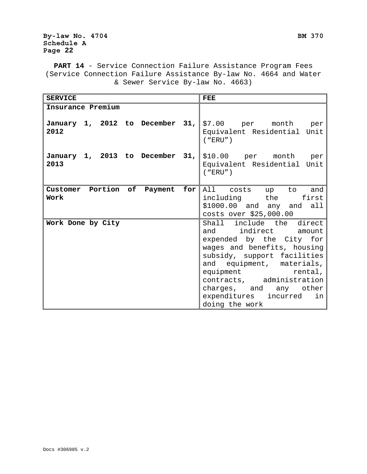**PART 14** - Service Connection Failure Assistance Program Fees (Service Connection Failure Assistance By-law No. 4664 and Water & Sewer Service By-law No. 4663)

| <b>SERVICE</b>                          | <b>FEE</b>                                                                                                                                                                                                                                                                                                 |
|-----------------------------------------|------------------------------------------------------------------------------------------------------------------------------------------------------------------------------------------------------------------------------------------------------------------------------------------------------------|
| Insurance Premium                       |                                                                                                                                                                                                                                                                                                            |
| January 1, 2012 to December 31,<br>2012 | \$7.00 per month per<br>Equivalent Residential Unit<br>("ERU")                                                                                                                                                                                                                                             |
| January 1, 2013 to December 31,<br>2013 | \$10.00 per month per<br>Equivalent Residential Unit<br>("ERU")                                                                                                                                                                                                                                            |
| Customer Portion of Payment for<br>Work | All costs up to and<br>first<br>including the<br>\$1000.00 and any and all<br>costs over \$25,000.00                                                                                                                                                                                                       |
| Work Done by City                       | Shall include the direct<br>and indirect amount<br>expended by the City for<br>wages and benefits, housing<br>subsidy, support facilities<br>and equipment, materials,<br>equipment<br>rental, $ $<br>contracts, administration<br>charges, and any other<br>expenditures incurred<br>in<br>doing the work |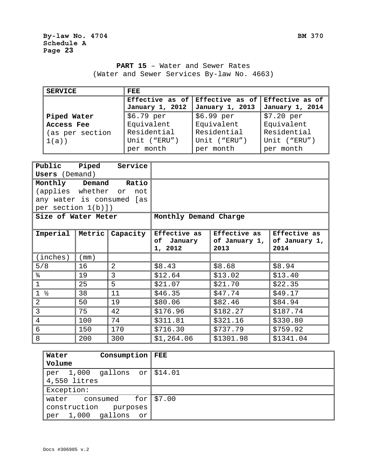# **PART 15** – Water and Sewer Rates (Water and Sewer Services By-law No. 4663)

| <b>SERVICE</b>    | <b>FEE</b>      |                                                 |                 |
|-------------------|-----------------|-------------------------------------------------|-----------------|
|                   |                 | Effective as of Effective as of Effective as of |                 |
|                   | January 1, 2012 | January 1, 2013                                 | January 1, 2014 |
| Piped Water       | \$6.79 per      | \$6.99 per                                      | \$7.20~per      |
| <b>Access Fee</b> | Equivalent      | Equivalent                                      | Equivalent      |
| (as per section   | Residential     | Residential                                     | Residential     |
| 1(a)              | Unit ("ERU")    | Unit ("ERU")                                    | Unit ("ERU")    |
|                   | per month       | per month                                       | per month       |

|                       |        | Public Piped Service      |                       |                             |              |
|-----------------------|--------|---------------------------|-----------------------|-----------------------------|--------------|
| <b>Users</b> (Demand) |        |                           |                       |                             |              |
|                       |        | Monthly Demand Ratio      |                       |                             |              |
| (applies whether or   |        | not                       |                       |                             |              |
|                       |        | any water is consumed [as |                       |                             |              |
| per section $1(b)$ ]) |        |                           |                       |                             |              |
| Size of Water Meter   |        |                           | Monthly Demand Charge |                             |              |
|                       |        |                           |                       |                             |              |
| Imperial              | Metric | Capacity                  | Effective as          | Effective as                | Effective as |
|                       |        |                           | of January            | of January 1, of January 1, |              |
|                       |        |                           | 1, 2012               | 2013                        | 2014         |
| (inches)              | (mm)   |                           |                       |                             |              |
| 5/8                   | 16     | 2                         | \$8.43                | \$8.68                      | \$8.94       |
| $\frac{3}{4}$         | 19     | 3                         | \$12.64               | \$13.02                     | \$13.40      |
| $\mathbf{1}$          | 25     | 5                         | \$21.07               | \$21.70                     | \$22.35      |
| $1 \frac{1}{2}$       | 38     | 11                        | \$46.35               | \$47.74                     | \$49.17      |
| 2                     | 50     | 19                        | \$80.06               | \$82.46                     | \$84.94      |
| $\mathbf{3}$          | 75     | 42                        | \$176.96              | \$182.27                    | \$187.74     |
| 4                     | 100    | 74                        | \$311.81              | \$321.16                    | \$330.80     |
| 6                     | 150    | 170                       | \$716.30              | \$737.79                    | \$759.92     |
| 8                     | 200    | 300                       | \$1,264.06            | \$1301.98                   | \$1341.04    |

| Consumption   FEE<br>Water                                                     |               |
|--------------------------------------------------------------------------------|---------------|
| Volume                                                                         |               |
| 1,000<br>gallons or \$14.01<br>per<br>4,550 litres                             |               |
| Exception:                                                                     |               |
| consumed<br>water<br>construction<br>purposes<br>qallons<br>1,000<br>or<br>per | for $  $7.00$ |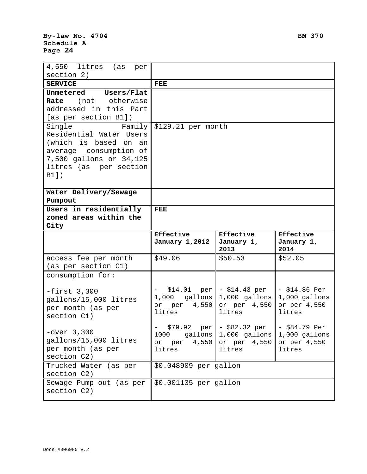| 4,550 litres (as<br>per<br>section 2)                                                                                                                       |                                                            |                                                                       |                                                              |
|-------------------------------------------------------------------------------------------------------------------------------------------------------------|------------------------------------------------------------|-----------------------------------------------------------------------|--------------------------------------------------------------|
| <b>SERVICE</b>                                                                                                                                              | <b>FEE</b>                                                 |                                                                       |                                                              |
| Unmetered Users/Flat<br>(not otherwise<br>Rate<br>addressed in this Part<br>[as per section B1])                                                            |                                                            |                                                                       |                                                              |
| Single<br>Family<br>Residential Water Users<br>(which is based on an<br>average consumption of<br>7,500 gallons or 34,125<br>litres {as per section<br>B1]) | $\frac{129.21}{20}$ per month                              |                                                                       |                                                              |
| Water Delivery/Sewage<br>Pumpout                                                                                                                            |                                                            |                                                                       |                                                              |
| Users in residentially<br>zoned areas within the<br>City                                                                                                    | <b>FEE</b>                                                 |                                                                       |                                                              |
|                                                                                                                                                             | Effective                                                  | Effective                                                             | Effective                                                    |
|                                                                                                                                                             | January 1,2012                                             | January 1,<br>2013                                                    | January 1,<br>2014                                           |
| access fee per month<br>(as per section C1)                                                                                                                 | \$49.06                                                    | \$50.53                                                               | \$52.05                                                      |
| consumption for:                                                                                                                                            |                                                            |                                                                       |                                                              |
| $-first$ 3,300<br>gallons/15,000 litres<br>per month (as per<br>section C1)                                                                                 | 1,000 gallons<br>or per 4,550<br>litres                    | $$14.01$ per - \$14.43 per<br>1,000 gallons<br>or per 4,550<br>litres | $- $14.86$ Per<br>1,000 gallons<br>or per 4,550<br>litres    |
| -over 3,300<br>gallons/15,000 litres<br>per month (as per<br>section C2)                                                                                    | \$79.92<br>1000<br>gallons<br>4,550<br>or<br>per<br>litres | $per$ $-$ \$82.32 per<br>1,000 gallons<br>or per 4,550<br>litres      | $-$ \$84.79 Per<br>$1,000$ gallons<br>or per 4,550<br>litres |
| Trucked Water (as per<br>section C2)                                                                                                                        | \$0.048909 per gallon                                      |                                                                       |                                                              |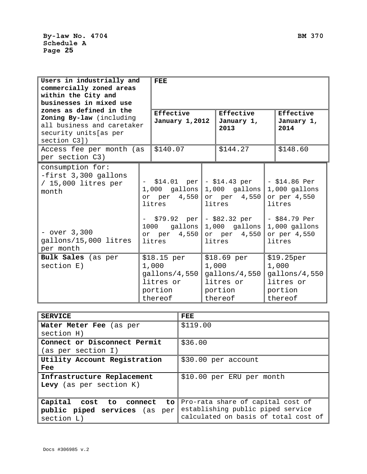| Users in industrially and<br>commercially zoned areas<br>within the City and<br>businesses in mixed use<br>zones as defined in the<br>Zoning By-law (including<br>all business and caretaker<br>security units [as per<br>section C3]) |  | <b>FEE</b>                                                                                                                                                              |  |                                                                          |  |                                                                                                                              |
|----------------------------------------------------------------------------------------------------------------------------------------------------------------------------------------------------------------------------------------|--|-------------------------------------------------------------------------------------------------------------------------------------------------------------------------|--|--------------------------------------------------------------------------|--|------------------------------------------------------------------------------------------------------------------------------|
|                                                                                                                                                                                                                                        |  | Effective<br><b>January 1,2012</b>                                                                                                                                      |  | Effective<br>January 1,<br>2013                                          |  | Effective<br>January 1,<br>2014                                                                                              |
| Access fee per month (as<br>per section C3)                                                                                                                                                                                            |  | \$140.07                                                                                                                                                                |  | \$144.27                                                                 |  | \$148.60                                                                                                                     |
| consumption for:<br>-first 3,300 gallons<br>$/15,000$ litres per<br>month<br>$-$ over $3,300$<br>gallons/15,000 litres<br>per month                                                                                                    |  | $-$ \$14.01 per - \$14.43 per<br>$1,000$ gallons 1,000 gallons<br>or per $4,550$<br>litres<br>- \$79.92 per∥- \$82.32 per<br>$1000$ gallons<br>or per $4,550$<br>litres |  | or per 4,550<br>litres<br>$1,000$ gallons<br>or per 4,550<br>litres      |  | $-$ \$14.86 Per<br>$1,000$ gallons<br>or per 4,550<br>litres<br>$-$ \$84.79 Per<br>$1,000$ gallons<br>or per 4,550<br>litres |
| Bulk Sales (as per<br>section E)                                                                                                                                                                                                       |  | \$18.15 per<br>1,000<br>gallons/4,550<br>litres or<br>portion<br>thereof                                                                                                |  | \$18.69 per<br>1,000<br>gallons/4,550<br>litres or<br>portion<br>thereof |  | \$19.25per<br>1,000<br>gallons/4,550<br>litres or<br>portion<br>thereof                                                      |

| <b>SERVICE</b>                   | FEE                                  |
|----------------------------------|--------------------------------------|
| Water Meter Fee (as per          | \$119.00                             |
| section H)                       |                                      |
| Connect or Disconnect Permit     | \$36.00                              |
| (as per section I)               |                                      |
| Utility Account Registration     | \$30.00 per account                  |
| Fee                              |                                      |
| Infrastructure Replacement       | \$10.00 per ERU per month            |
| Levy (as per section K)          |                                      |
|                                  |                                      |
| Capital cost to connect<br>to    | Pro-rata share of capital cost of    |
| public piped services (as<br>per | establishing public piped service    |
| section L)                       | calculated on basis of total cost of |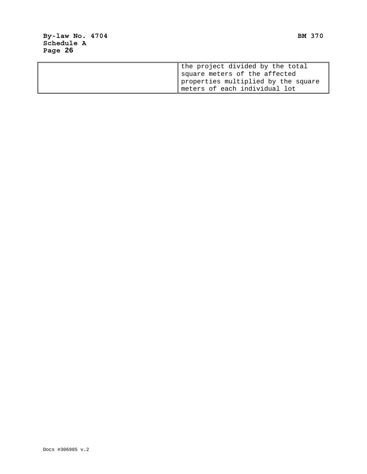| the project divided by the total    |
|-------------------------------------|
| square meters of the affected       |
| properties multiplied by the square |
| meters of each individual lot       |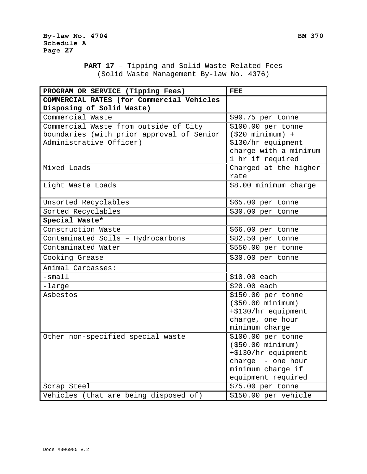> **PART 17** – Tipping and Solid Waste Related Fees (Solid Waste Management By-law No. 4376)

| PROGRAM OR SERVICE (Tipping Fees)         | FEE                   |
|-------------------------------------------|-----------------------|
| COMMERCIAL RATES (for Commercial Vehicles |                       |
| Disposing of Solid Waste)                 |                       |
| Commercial Waste                          | \$90.75 per tonne     |
| Commercial Waste from outside of City     | \$100.00 per tonne    |
| boundaries (with prior approval of Senior | $( $20$ minimum) +    |
| Administrative Officer)                   | \$130/hr equipment    |
|                                           | charge with a minimum |
|                                           | 1 hr if required      |
| Mixed Loads                               | Charged at the higher |
|                                           | rate                  |
| Light Waste Loads                         | \$8.00 minimum charge |
| Unsorted Recyclables                      | \$65.00 per tonne     |
| Sorted Recyclables                        | \$30.00 per tonne     |
| Special Waste*                            |                       |
| Construction Waste                        | \$66.00 per tonne     |
| Contaminated Soils - Hydrocarbons         | \$82.50 per tonne     |
| Contaminated Water                        | \$550.00 per tonne    |
| Cooking Grease                            | \$30.00 per tonne     |
| Animal Carcasses:                         |                       |
| $-s$ mall                                 | \$10.00 each          |
| -large                                    | \$20.00 each          |
| Asbestos                                  | \$150.00 per tonne    |
|                                           | ( \$50.00 minimum)    |
|                                           | +\$130/hr equipment   |
|                                           | charge, one hour      |
|                                           | minimum charge        |
| Other non-specified special waste         | \$100.00 per tonne    |
|                                           | ( \$50.00 minimum)    |
|                                           | +\$130/hr equipment   |
|                                           | charge - one hour     |
|                                           | minimum charge if     |
|                                           | equipment required    |
| Scrap Steel                               | \$75.00 per tonne     |
| Vehicles (that are being disposed of)     | \$150.00 per vehicle  |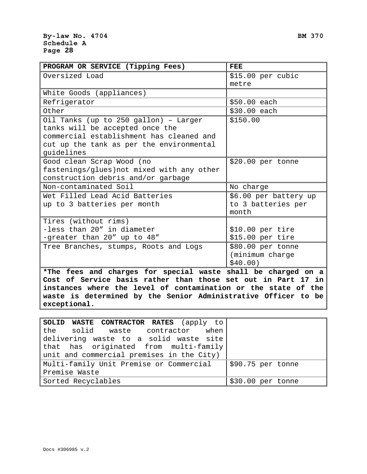| PROGRAM OR SERVICE (Tipping Fees)                                                                                                                                                                                                                                  | <b>FEE</b>                                       |  |
|--------------------------------------------------------------------------------------------------------------------------------------------------------------------------------------------------------------------------------------------------------------------|--------------------------------------------------|--|
| Oversized Load                                                                                                                                                                                                                                                     | \$15.00 per cubic                                |  |
|                                                                                                                                                                                                                                                                    | metre                                            |  |
| White Goods (appliances)                                                                                                                                                                                                                                           |                                                  |  |
| Refrigerator                                                                                                                                                                                                                                                       | \$50.00 each                                     |  |
| Other                                                                                                                                                                                                                                                              | \$30.00 each                                     |  |
| Oil Tanks (up to 250 gallon) - Larger<br>tanks will be accepted once the                                                                                                                                                                                           | \$150.00                                         |  |
| commercial establishment has cleaned and<br>cut up the tank as per the environmental<br>quidelines                                                                                                                                                                 |                                                  |  |
| Good clean Scrap Wood (no                                                                                                                                                                                                                                          | \$20.00 per tonne                                |  |
| fastenings/glues) not mixed with any other                                                                                                                                                                                                                         |                                                  |  |
| construction debris and/or garbage                                                                                                                                                                                                                                 |                                                  |  |
| Non-contaminated Soil                                                                                                                                                                                                                                              | No charge                                        |  |
| Wet Filled Lead Acid Batteries                                                                                                                                                                                                                                     | \$6.00 per battery up                            |  |
| up to 3 batteries per month                                                                                                                                                                                                                                        | to 3 batteries per<br>month                      |  |
| Tires (without rims)                                                                                                                                                                                                                                               |                                                  |  |
| -less than 20" in diameter                                                                                                                                                                                                                                         | $$10.00$ per tire                                |  |
| -greater than 20" up to 48"                                                                                                                                                                                                                                        | \$15.00 per tire                                 |  |
| Tree Branches, stumps, Roots and Logs                                                                                                                                                                                                                              | \$80.00 per tonne<br>(minimum charge<br>\$40.00) |  |
| *The fees and charges for special waste shall be charged on a<br>Cost of Service basis rather than those set out in Part 17 in<br>instances where the level of contamination or the state of the<br>waste is determined by the Senior Administrative Officer to be |                                                  |  |

| SOLID WASTE CONTRACTOR RATES (apply to    |                                |
|-------------------------------------------|--------------------------------|
| the solid waste contractor when           |                                |
| delivering waste to a solid waste site    |                                |
| that has originated from multi-family     |                                |
| unit and commercial premises in the City) |                                |
| Multi-family Unit Premise or Commercial   | $\frac{1590.75}{20}$ per tonne |
| Premise Waste                             |                                |
| Sorted Recyclables                        | \$30.00 per tonne              |

**exceptional.**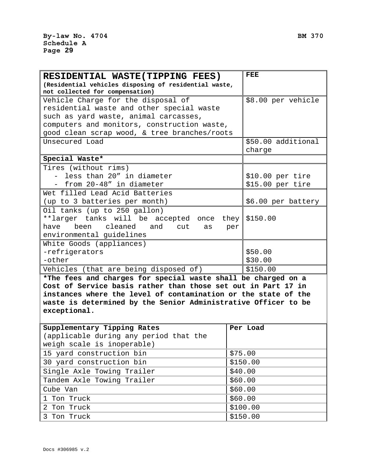r.

| RESIDENTIAL WASTE(TIPPING FEES)                                                                                                | FEE                |
|--------------------------------------------------------------------------------------------------------------------------------|--------------------|
| (Residential vehicles disposing of residential waste,<br>not collected for compensation)                                       |                    |
| Vehicle Charge for the disposal of                                                                                             | \$8.00 per vehicle |
| residential waste and other special waste                                                                                      |                    |
| such as yard waste, animal carcasses,                                                                                          |                    |
| computers and monitors, construction waste,                                                                                    |                    |
| good clean scrap wood, & tree branches/roots                                                                                   |                    |
| Unsecured Load                                                                                                                 | \$50.00 additional |
|                                                                                                                                | charge             |
| Special Waste*                                                                                                                 |                    |
| Tires (without rims)                                                                                                           |                    |
| - less than 20" in diameter                                                                                                    | $$10.00$ per tire  |
| - from 20-48" in diameter                                                                                                      | \$15.00 per tire   |
| Wet filled Lead Acid Batteries                                                                                                 |                    |
| (up to 3 batteries per month)                                                                                                  | \$6.00 per battery |
| Oil tanks (up to 250 gallon)                                                                                                   |                    |
| **larger tanks will be accepted once                                                                                           | they<br>\$150.00   |
| been<br>cleaned<br>and<br>have<br>cut<br>as                                                                                    | per                |
| environmental guidelines                                                                                                       |                    |
| White Goods (appliances)                                                                                                       |                    |
| -refrigerators<br>-other                                                                                                       | \$50.00<br>\$30.00 |
|                                                                                                                                |                    |
| Vehicles (that are being disposed of)                                                                                          | \$150.00           |
| *The fees and charges for special waste shall be charged on a<br>Cost of Service basis rather than those set out in Part 17 in |                    |
| instances where the level of contamination or the state of the                                                                 |                    |
| waste is determined by the Senior Administrative Officer to be                                                                 |                    |
| exceptional.                                                                                                                   |                    |
|                                                                                                                                |                    |
| Supplementary Tipping Rates                                                                                                    | Per Load           |
| (applicable during any period that the                                                                                         |                    |
| weigh scale is inoperable)                                                                                                     |                    |
| 15 yard construction bin                                                                                                       | \$75.00            |
| 30 yard construction bin                                                                                                       | \$150.00           |
| Single Axle Towing Trailer                                                                                                     | \$40.00            |
| Tandem Axle Towing Trailer                                                                                                     | \$60.00            |
| Cube Van                                                                                                                       | \$60.00            |
| 1 Ton Truck                                                                                                                    | \$60.00            |
| 2 Ton Truck                                                                                                                    | \$100.00           |
| 3 Ton Truck                                                                                                                    | \$150.00           |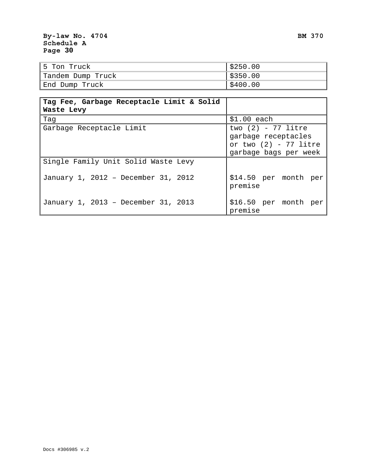| 5 Ton Truck       | \$250.00 |
|-------------------|----------|
| Tandem Dump Truck | \$350.00 |
| End Dump Truck    | \$400.00 |

| Tag Fee, Garbage Receptacle Limit & Solid |                                  |
|-------------------------------------------|----------------------------------|
| Waste Levy                                |                                  |
| Tag                                       | $$1.00$ each                     |
| Garbage Receptacle Limit                  | two $(2)$ - 77 litre             |
|                                           | garbage receptacles              |
|                                           | or two $(2)$ - 77 litre          |
|                                           | garbage bags per week            |
| Single Family Unit Solid Waste Levy       |                                  |
| January 1, 2012 - December 31, 2012       | \$14.50 per month per<br>premise |
| January 1, 2013 - December 31, 2013       | \$16.50 per month per<br>premise |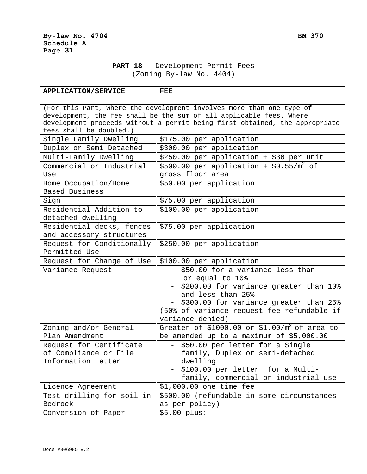# **PART 18** – Development Permit Fees (Zoning By-law No. 4404)

| <b>APPLICATION/SERVICE</b>                                                                                                                                                                                                                            | <b>FEE</b>                                                                                                                                                                                                                                                 |  |
|-------------------------------------------------------------------------------------------------------------------------------------------------------------------------------------------------------------------------------------------------------|------------------------------------------------------------------------------------------------------------------------------------------------------------------------------------------------------------------------------------------------------------|--|
|                                                                                                                                                                                                                                                       |                                                                                                                                                                                                                                                            |  |
| (For this Part, where the development involves more than one type of<br>development, the fee shall be the sum of all applicable fees. Where<br>development proceeds without a permit being first obtained, the appropriate<br>fees shall be doubled.) |                                                                                                                                                                                                                                                            |  |
| Single Family Dwelling                                                                                                                                                                                                                                | \$175.00 per application                                                                                                                                                                                                                                   |  |
| Duplex or Semi Detached                                                                                                                                                                                                                               | \$300.00 per application                                                                                                                                                                                                                                   |  |
| Multi-Family Dwelling                                                                                                                                                                                                                                 | \$250.00 per application + \$30 per unit                                                                                                                                                                                                                   |  |
| Commercial or Industrial<br>Use                                                                                                                                                                                                                       | \$500.00 per application + $$0.55/m2$ of<br>gross floor area                                                                                                                                                                                               |  |
| Home Occupation/Home<br>Based Business                                                                                                                                                                                                                | \$50.00 per application                                                                                                                                                                                                                                    |  |
| Sign                                                                                                                                                                                                                                                  | \$75.00 per application                                                                                                                                                                                                                                    |  |
| Residential Addition to<br>detached dwelling                                                                                                                                                                                                          | \$100.00 per application                                                                                                                                                                                                                                   |  |
| Residential decks, fences<br>and accessory structures                                                                                                                                                                                                 | \$75.00 per application                                                                                                                                                                                                                                    |  |
| Request for Conditionally<br>Permitted Use                                                                                                                                                                                                            | \$250.00 per application                                                                                                                                                                                                                                   |  |
| Request for Change of Use                                                                                                                                                                                                                             | \$100.00 per application                                                                                                                                                                                                                                   |  |
| Variance Request                                                                                                                                                                                                                                      | \$50.00 for a variance less than<br>$\overline{\phantom{0}}$<br>or equal to 10%<br>\$200.00 for variance greater than 10%<br>and less than 25%<br>\$300.00 for variance greater than 25%<br>(50% of variance request fee refundable if<br>variance denied) |  |
| Zoning and/or General<br>Plan Amendment                                                                                                                                                                                                               | Greater of \$1000.00 or \$1.00/ $m^2$ of area to<br>be amended up to a maximum of \$5,000.00                                                                                                                                                               |  |
| Request for Certificate<br>of Compliance or File<br>Information Letter                                                                                                                                                                                | \$50.00 per letter for a Single<br>family, Duplex or semi-detached<br>dwelling<br>- \$100.00 per letter for a Multi-<br>family, commercial or industrial use                                                                                               |  |
| Licence Agreement                                                                                                                                                                                                                                     | \$1,000.00 one time fee                                                                                                                                                                                                                                    |  |
| Test-drilling for soil in                                                                                                                                                                                                                             | \$500.00 (refundable in some circumstances                                                                                                                                                                                                                 |  |
|                                                                                                                                                                                                                                                       |                                                                                                                                                                                                                                                            |  |
| Bedrock                                                                                                                                                                                                                                               | as per policy)                                                                                                                                                                                                                                             |  |
| Conversion of Paper                                                                                                                                                                                                                                   | \$5.00 plus:                                                                                                                                                                                                                                               |  |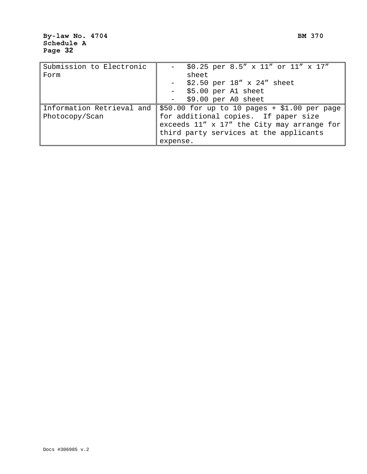| Submission to Electronic  | \$0.25 per 8.5" x 11" or 11" x 17"            |
|---------------------------|-----------------------------------------------|
| Form                      | sheet                                         |
|                           | $-$ \$2.50 per 18" x 24" sheet                |
|                           | $-$ \$5.00 per A1 sheet                       |
|                           | $-$ \$9.00 per A0 sheet                       |
| Information Retrieval and | $$50.00$ for up to 10 pages + \$1.00 per page |
| Photocopy/Scan            | for additional copies. If paper size          |
|                           | exceeds 11" x 17" the City may arrange for    |
|                           | third party services at the applicants        |
|                           | expense.                                      |